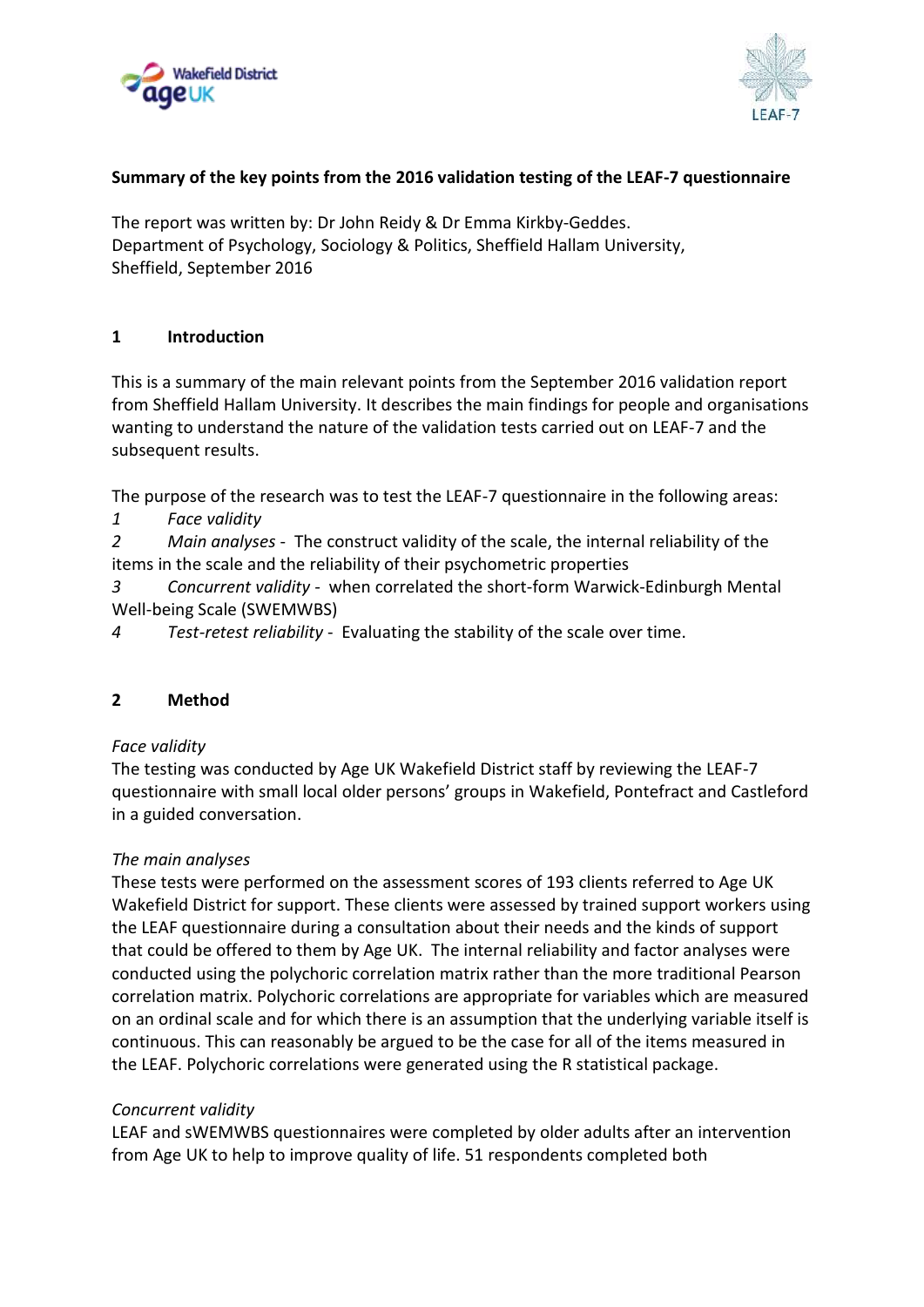



# **Summary of the key points from the 2016 validation testing of the LEAF-7 questionnaire**

The report was written by: Dr John Reidy & Dr Emma Kirkby-Geddes. Department of Psychology, Sociology & Politics, Sheffield Hallam University, Sheffield, September 2016

# **1 Introduction**

This is a summary of the main relevant points from the September 2016 validation report from Sheffield Hallam University. It describes the main findings for people and organisations wanting to understand the nature of the validation tests carried out on LEAF-7 and the subsequent results.

The purpose of the research was to test the LEAF-7 questionnaire in the following areas:

*1 Face validity*

*2 Main analyses* - The construct validity of the scale, the internal reliability of the items in the scale and the reliability of their psychometric properties

*3 Concurrent validity -* when correlated the short-form Warwick-Edinburgh Mental Well-being Scale (SWEMWBS)

*4 Test-retest reliability* - Evaluating the stability of the scale over time.

### **2 Method**

### *Face validity*

The testing was conducted by Age UK Wakefield District staff by reviewing the LEAF-7 questionnaire with small local older persons' groups in Wakefield, Pontefract and Castleford in a guided conversation.

### *The main analyses*

These tests were performed on the assessment scores of 193 clients referred to Age UK Wakefield District for support. These clients were assessed by trained support workers using the LEAF questionnaire during a consultation about their needs and the kinds of support that could be offered to them by Age UK. The internal reliability and factor analyses were conducted using the polychoric correlation matrix rather than the more traditional Pearson correlation matrix. Polychoric correlations are appropriate for variables which are measured on an ordinal scale and for which there is an assumption that the underlying variable itself is continuous. This can reasonably be argued to be the case for all of the items measured in the LEAF. Polychoric correlations were generated using the R statistical package.

### *Concurrent validity*

LEAF and sWEMWBS questionnaires were completed by older adults after an intervention from Age UK to help to improve quality of life. 51 respondents completed both